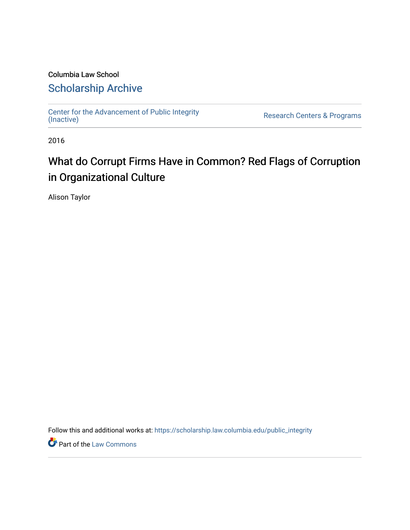# Columbia Law School [Scholarship Archive](https://scholarship.law.columbia.edu/)

[Center for the Advancement of Public Integrity](https://scholarship.law.columbia.edu/public_integrity)<br>(Inactive)

Research Centers & Programs

2016

# What do Corrupt Firms Have in Common? Red Flags of Corruption in Organizational Culture

Alison Taylor

Follow this and additional works at: [https://scholarship.law.columbia.edu/public\\_integrity](https://scholarship.law.columbia.edu/public_integrity?utm_source=scholarship.law.columbia.edu%2Fpublic_integrity%2F77&utm_medium=PDF&utm_campaign=PDFCoverPages)

**Part of the [Law Commons](http://network.bepress.com/hgg/discipline/578?utm_source=scholarship.law.columbia.edu%2Fpublic_integrity%2F77&utm_medium=PDF&utm_campaign=PDFCoverPages)**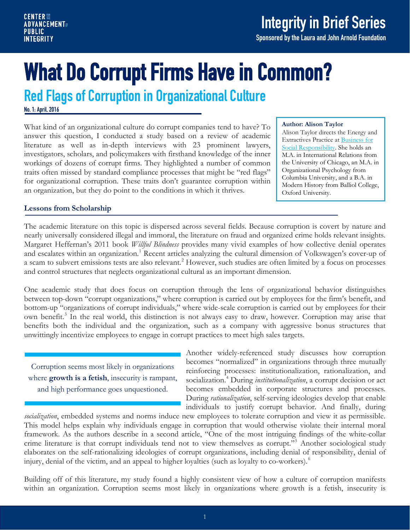Sponsored by the Laura and John Arnold Foundation

# What Do Corrupt Firms Have in Common?<br>Red Flags of Corruption in Organizational Culture

No. 1: April, 2016

What kind of an organizational culture do corrupt companies tend to have? To answer this question, I conducted a study based on a review of academic literature as well as in-depth interviews with 23 prominent lawyers, investigators, scholars, and policymakers with firsthand knowledge of the inner workings of dozens of corrupt firms. They highlighted a number of common traits often missed by standard compliance processes that might be "red flags" for organizational corruption. These traits don't guarantee corruption within an organization, but they do point to the conditions in which it thrives.

#### **Author: Alison Taylor**

Alison Taylor directs the Energy and Extractives Practice a[t Business for](http://www.bsr.org/en/about/staff-bio/alison-taylor)  [Social Responsibility.](http://www.bsr.org/en/about/staff-bio/alison-taylor) She holds an M.A. in International Relations from the University of Chicago, an M.A. in Organizational Psychology from Columbia University, and a B.A. in Modern History from Balliol College, Oxford University.

# **Lessons from Scholarship**

The academic literature on this topic is dispersed across several fields. Because corruption is covert by nature and nearly universally considered illegal and immoral, the literature on fraud and organized crime holds relevant insights. Margaret Heffernan's 2011 book *Willful Blindness* provides many vivid examples of how collective denial operates and escalates within an organization.<sup>[1](#page-4-0)</sup> Recent articles analyzing the cultural dimension of Volkswagen's cover-up of a scam to subvert emissions tests are also relevant.<sup>[2](#page-4-1)</sup> However, such studies are often limited by a focus on processes and control structures that neglects organizational cultural as an important dimension.

One academic study that does focus on corruption through the lens of organizational behavior distinguishes between top-down "corrupt organizations," where corruption is carried out by employees for the firm's benefit, and bottom-up "organizations of corrupt individuals," where wide-scale corruption is carried out by employees for their own benefit. [3](#page-4-2) In the real world, this distinction is not always easy to draw, however. Corruption may arise that benefits both the individual and the organization, such as a company with aggressive bonus structures that unwittingly incentivize employees to engage in corrupt practices to meet high sales targets.

Corruption seems most likely in organizations where **growth is a fetish**, insecurity is rampant, and high performance goes unquestioned.

Another widely-referenced study discusses how corruption becomes "normalized" in organizations through three mutually reinforcing processes: institutionalization, rationalization, and socialization.[4](#page-4-3) During *institutionalization*, a corrupt decision or act becomes embedded in corporate structures and processes. During *rationalization*, self-serving ideologies develop that enable individuals to justify corrupt behavior. And finally, during

*socialization*, embedded systems and norms induce new employees to tolerate corruption and view it as permissible. This model helps explain why individuals engage in corruption that would otherwise violate their internal moral framework. As the authors describe in a second article, "One of the most intriguing findings of the white-collar crime literature is that corrupt individuals tend not to view themselves as corrupt."[5](#page-4-4) Another sociological study elaborates on the self-rationalizing ideologies of corrupt organizations, including denial of responsibility, denial of injury, denial of the victim, and an appeal to higher loyalties (such as loyalty to co-workers).<sup>[6](#page-4-5)</sup>

Building off of this literature, my study found a highly consistent view of how a culture of corruption manifests within an organization. Corruption seems most likely in organizations where growth is a fetish, insecurity is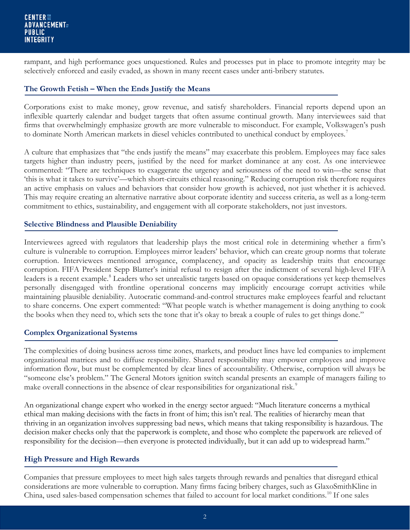rampant, and high performance goes unquestioned. Rules and processes put in place to promote integrity may be selectively enforced and easily evaded, as shown in many recent cases under anti-bribery statutes.

# **The Growth Fetish – When the Ends Justify the Means**

Corporations exist to make money, grow revenue, and satisfy shareholders. Financial reports depend upon an inflexible quarterly calendar and budget targets that often assume continual growth. Many interviewees said that firms that overwhelmingly emphasize growth are more vulnerable to misconduct. For example, Volkswagen's push to dominate North American markets in diesel vehicles contributed to unethical conduct by employees.<sup>[7](#page-4-6)</sup>

A culture that emphasizes that "the ends justify the means" may exacerbate this problem. Employees may face sales targets higher than industry peers, justified by the need for market dominance at any cost. As one interviewee commented: "There are techniques to exaggerate the urgency and seriousness of the need to win—the sense that 'this is what it takes to survive'—which short-circuits ethical reasoning." Reducing corruption risk therefore requires an active emphasis on values and behaviors that consider how growth is achieved, not just whether it is achieved. This may require creating an alternative narrative about corporate identity and success criteria, as well as a long-term commitment to ethics, sustainability, and engagement with all corporate stakeholders, not just investors.

## **Selective Blindness and Plausible Deniability**

Interviewees agreed with regulators that leadership plays the most critical role in determining whether a firm's culture is vulnerable to corruption. Employees mirror leaders' behavior, which can create group norms that tolerate corruption. Interviewees mentioned arrogance, complacency, and opacity as leadership traits that encourage corruption. FIFA President Sepp Blatter's initial refusal to resign after the indictment of several high-level FIFA leaders is a recent example.<sup>[8](#page-4-7)</sup> Leaders who set unrealistic targets based on opaque considerations yet keep themselves personally disengaged with frontline operational concerns may implicitly encourage corrupt activities while maintaining plausible deniability. Autocratic command-and-control structures make employees fearful and reluctant to share concerns. One expert commented: "What people watch is whether management is doing anything to cook the books when they need to, which sets the tone that it's okay to break a couple of rules to get things done."

# **Complex Organizational Systems**

The complexities of doing business across time zones, markets, and product lines have led companies to implement organizational matrices and to diffuse responsibility. Shared responsibility may empower employees and improve information flow, but must be complemented by clear lines of accountability. Otherwise, corruption will always be "someone else's problem." The General Motors ignition switch scandal presents an example of managers failing to make overall connections in the absence of clear responsibilities for organizational risk.<sup>[9](#page-4-8)</sup>

An organizational change expert who worked in the energy sector argued: "Much literature concerns a mythical ethical man making decisions with the facts in front of him; this isn't real. The realities of hierarchy mean that thriving in an organization involves suppressing bad news, which means that taking responsibility is hazardous. The decision maker checks only that the paperwork is complete, and those who complete the paperwork are relieved of responsibility for the decision—then everyone is protected individually, but it can add up to widespread harm."

## **High Pressure and High Rewards**

Companies that pressure employees to meet high sales targets through rewards and penalties that disregard ethical considerations are more vulnerable to corruption. Many firms facing bribery charges, such as GlaxoSmithKline in China, used sales-based compensation schemes that failed to account for local market conditions.[10](#page-4-9) If one sales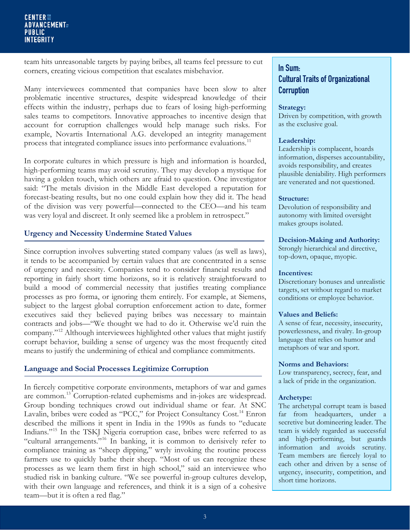#### **CENTER ## ADVANCEMENT PUBLIC INTEGRITY**

team hits unreasonable targets by paying bribes, all teams feel pressure to cut corners, creating vicious competition that escalates misbehavior.

Many interviewees commented that companies have been slow to alter problematic incentive structures, despite widespread knowledge of their effects within the industry, perhaps due to fears of losing high-performing sales teams to competitors. Innovative approaches to incentive design that account for corruption challenges would help manage such risks. For example, Novartis International A.G. developed an integrity management process that integrated compliance issues into performance evaluations.<sup>[11](#page-4-10)</sup>

In corporate cultures in which pressure is high and information is hoarded, high-performing teams may avoid scrutiny. They may develop a mystique for having a golden touch, which others are afraid to question. One investigator said: "The metals division in the Middle East developed a reputation for forecast-beating results, but no one could explain how they did it. The head of the division was very powerful—connected to the CEO—and his team was very loyal and discreet. It only seemed like a problem in retrospect."

# **Urgency and Necessity Undermine Stated Values**

Since corruption involves subverting stated company values (as well as laws), it tends to be accompanied by certain values that are concentrated in a sense of urgency and necessity. Companies tend to consider financial results and reporting in fairly short time horizons, so it is relatively straightforward to build a mood of commercial necessity that justifies treating compliance processes as pro forma, or ignoring them entirely. For example, at Siemens, subject to the largest global corruption enforcement action to date, former executives said they believed paying bribes was necessary to maintain contracts and jobs—"We thought we had to do it. Otherwise we'd ruin the company."[12](#page-4-11) Although interviewees highlighted other values that might justify corrupt behavior, building a sense of urgency was the most frequently cited means to justify the undermining of ethical and compliance commitments.

## **Language and Social Processes Legitimize Corruption**

In fiercely competitive corporate environments, metaphors of war and games are common.<sup>[13](#page-4-12)</sup> Corruption-related euphemisms and in-jokes are widespread. Group bonding techniques crowd out individual shame or fear. At SNC Lavalin, bribes were coded as "PCC," for Project Consultancy Cost.<sup>[14](#page-4-13)</sup> Enron described the millions it spent in India in the 1990s as funds to "educate Indians."[15](#page-4-14) In the TSKJ Nigeria corruption case, bribes were referred to as "cultural arrangements."<sup>[16](#page-4-15)</sup> In banking, it is common to derisively refer to compliance training as "sheep dipping," wryly invoking the routine process farmers use to quickly bathe their sheep. "Most of us can recognize these processes as we learn them first in high school," said an interviewee who studied risk in banking culture. "We see powerful in-group cultures develop, with their own language and references, and think it is a sign of a cohesive team—but it is often a red flag."

# In Sum: Cultural Traits of Organizational **Corruption**

#### **Strategy:**

Driven by competition, with growth as the exclusive goal.

#### **Leadership:**

Leadership is complacent, hoards information, disperses accountability, avoids responsibility, and creates plausible deniability. High performers are venerated and not questioned.

#### **Structure:**

Devolution of responsibility and autonomy with limited oversight makes groups isolated.

#### **Decision-Making and Authority:**

Strongly hierarchical and directive, top-down, opaque, myopic.

#### **Incentives:**

Discretionary bonuses and unrealistic targets, set without regard to market conditions or employee behavior.

#### **Values and Beliefs:**

A sense of fear, necessity, insecurity, powerlessness, and rivalry. In-group language that relies on humor and metaphors of war and sport.

#### **Norms and Behaviors:**

Low transparency, secrecy, fear, and a lack of pride in the organization.

#### **Archetype:**

The archetypal corrupt team is based far from headquarters, under a secretive but domineering leader. The team is widely regarded as successful and high-performing, but guards information and avoids scrutiny. Team members are fiercely loyal to each other and driven by a sense of urgency, insecurity, competition, and short time horizons.